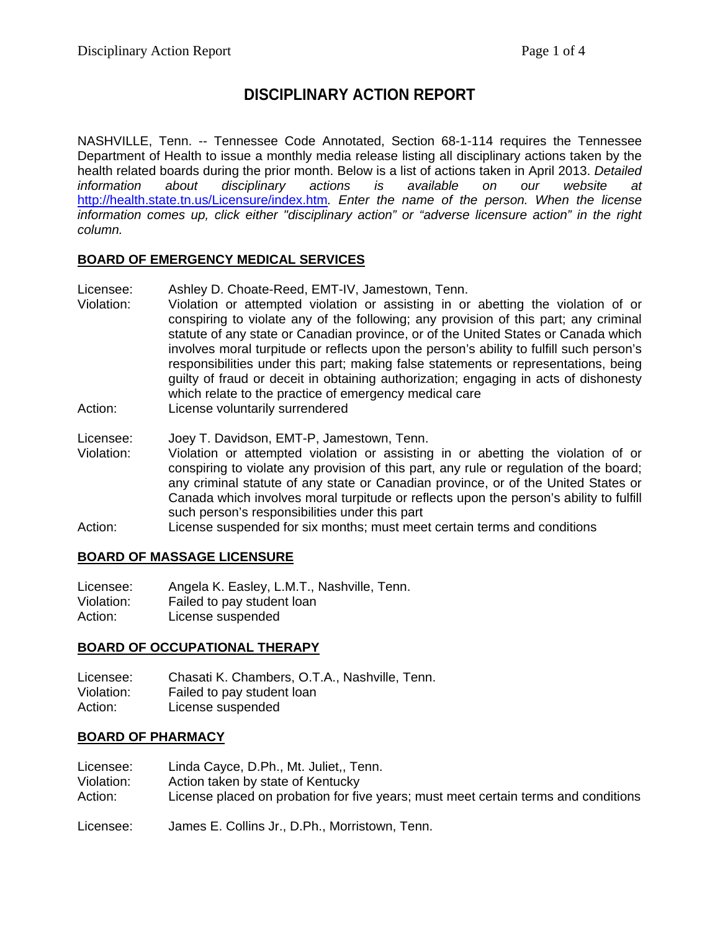# **DISCIPLINARY ACTION REPORT**

NASHVILLE, Tenn. -- Tennessee Code Annotated, Section 68-1-114 requires the Tennessee Department of Health to issue a monthly media release listing all disciplinary actions taken by the health related boards during the prior month. Below is a list of actions taken in April 2013. *Detailed information about disciplinary actions is available on our website at*  <http://health.state.tn.us/Licensure/index.htm>*. Enter the name of the person. When the license information comes up, click either "disciplinary action" or "adverse licensure action" in the right column.*

### **BOARD OF EMERGENCY MEDICAL SERVICES**

- Licensee: Ashley D. Choate-Reed, EMT-IV, Jamestown, Tenn.<br>Violation: Violation or attempted violation or assisting in or
- Violation or attempted violation or assisting in or abetting the violation of or conspiring to violate any of the following; any provision of this part; any criminal statute of any state or Canadian province, or of the United States or Canada which involves moral turpitude or reflects upon the person's ability to fulfill such person's responsibilities under this part; making false statements or representations, being guilty of fraud or deceit in obtaining authorization; engaging in acts of dishonesty which relate to the practice of emergency medical care
- Action: License voluntarily surrendered

Licensee: Joey T. Davidson, EMT-P, Jamestown, Tenn.

- Violation: Violation or attempted violation or assisting in or abetting the violation of or conspiring to violate any provision of this part, any rule or regulation of the board; any criminal statute of any state or Canadian province, or of the United States or Canada which involves moral turpitude or reflects upon the person's ability to fulfill such person's responsibilities under this part
- Action: License suspended for six months; must meet certain terms and conditions

#### **BOARD OF MASSAGE LICENSURE**

Licensee: Angela K. Easley, L.M.T., Nashville, Tenn.<br>Violation: Failed to pay student loan Violation: Failed to pay student loan<br>Action: License suspended License suspended

#### **BOARD OF OCCUPATIONAL THERAPY**

Licensee: Chasati K. Chambers, O.T.A., Nashville, Tenn.<br>Violation: Failed to pay student loan Failed to pay student loan Action: License suspended

#### **BOARD OF PHARMACY**

- Licensee: Linda Cayce, D.Ph., Mt. Juliet,, Tenn. Violation: Action taken by state of Kentucky<br>Action: License placed on probation for fiv License placed on probation for five years; must meet certain terms and conditions
- Licensee: James E. Collins Jr., D.Ph., Morristown, Tenn.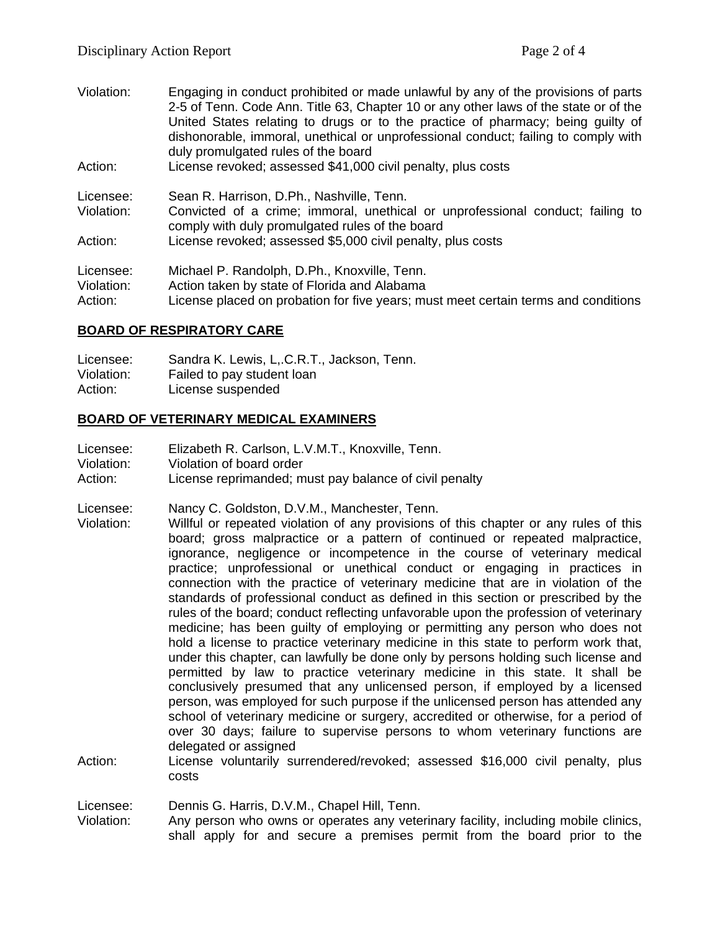- Violation: Engaging in conduct prohibited or made unlawful by any of the provisions of parts 2-5 of Tenn. Code Ann. Title 63, Chapter 10 or any other laws of the state or of the United States relating to drugs or to the practice of pharmacy; being guilty of dishonorable, immoral, unethical or unprofessional conduct; failing to comply with duly promulgated rules of the board
- Action: License revoked; assessed \$41,000 civil penalty, plus costs
- Licensee: Sean R. Harrison, D.Ph., Nashville, Tenn. Violation: Convicted of a crime; immoral, unethical or unprofessional conduct; failing to comply with duly promulgated rules of the board Action: License revoked; assessed \$5,000 civil penalty, plus costs

| Licensee:  | Michael P. Randolph, D.Ph., Knoxville, Tenn.                                       |
|------------|------------------------------------------------------------------------------------|
| Violation: | Action taken by state of Florida and Alabama                                       |
| Action:    | License placed on probation for five years; must meet certain terms and conditions |

#### **BOARD OF RESPIRATORY CARE**

| Licensee:  | Sandra K. Lewis, L. C.R.T., Jackson, Tenn. |
|------------|--------------------------------------------|
| Violation: | Failed to pay student loan                 |
| Action:    | License suspended                          |

#### **BOARD OF VETERINARY MEDICAL EXAMINERS**

| Licensee:  | Elizabeth R. Carlson, L.V.M.T., Knoxville, Tenn.       |
|------------|--------------------------------------------------------|
| Violation: | Violation of board order                               |
| Action:    | License reprimanded; must pay balance of civil penalty |

Licensee: Nancy C. Goldston, D.V.M., Manchester, Tenn.

- Violation: Willful or repeated violation of any provisions of this chapter or any rules of this board; gross malpractice or a pattern of continued or repeated malpractice, ignorance, negligence or incompetence in the course of veterinary medical practice; unprofessional or unethical conduct or engaging in practices in connection with the practice of veterinary medicine that are in violation of the standards of professional conduct as defined in this section or prescribed by the rules of the board; conduct reflecting unfavorable upon the profession of veterinary medicine; has been guilty of employing or permitting any person who does not hold a license to practice veterinary medicine in this state to perform work that, under this chapter, can lawfully be done only by persons holding such license and permitted by law to practice veterinary medicine in this state. It shall be conclusively presumed that any unlicensed person, if employed by a licensed person, was employed for such purpose if the unlicensed person has attended any school of veterinary medicine or surgery, accredited or otherwise, for a period of over 30 days; failure to supervise persons to whom veterinary functions are delegated or assigned
- Action: License voluntarily surrendered/revoked; assessed \$16,000 civil penalty, plus costs

Licensee: Dennis G. Harris, D.V.M., Chapel Hill, Tenn.

Violation: Any person who owns or operates any veterinary facility, including mobile clinics, shall apply for and secure a premises permit from the board prior to the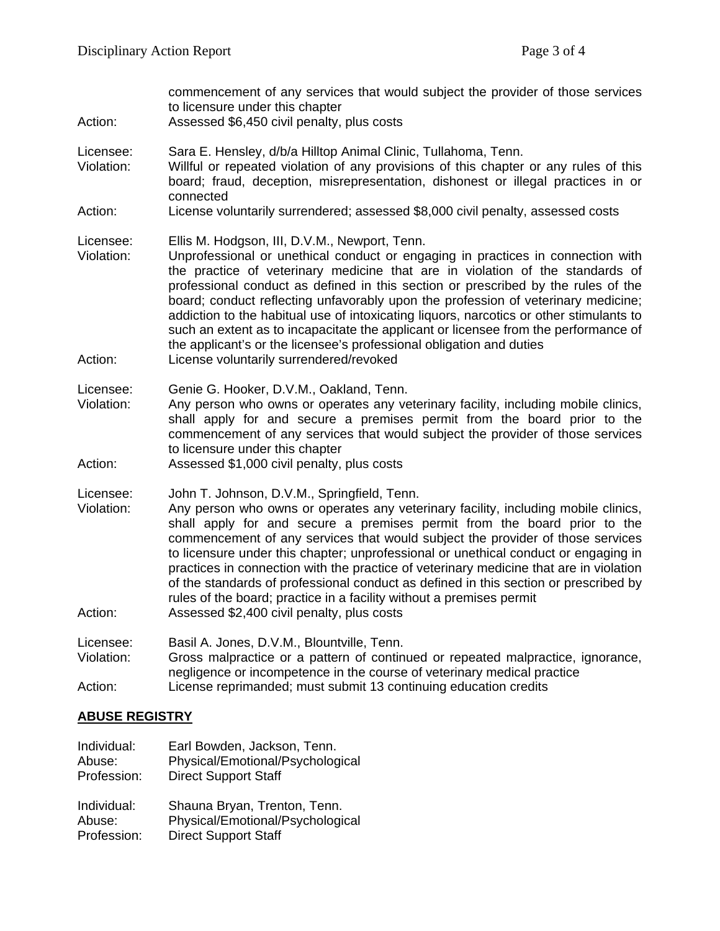| Action:                            | commencement of any services that would subject the provider of those services<br>to licensure under this chapter<br>Assessed \$6,450 civil penalty, plus costs                                                                                                                                                                                                                                                                                                                                                                                                                                                                                                                                  |
|------------------------------------|--------------------------------------------------------------------------------------------------------------------------------------------------------------------------------------------------------------------------------------------------------------------------------------------------------------------------------------------------------------------------------------------------------------------------------------------------------------------------------------------------------------------------------------------------------------------------------------------------------------------------------------------------------------------------------------------------|
| Licensee:<br>Violation:            | Sara E. Hensley, d/b/a Hilltop Animal Clinic, Tullahoma, Tenn.<br>Willful or repeated violation of any provisions of this chapter or any rules of this<br>board; fraud, deception, misrepresentation, dishonest or illegal practices in or<br>connected                                                                                                                                                                                                                                                                                                                                                                                                                                          |
| Action:                            | License voluntarily surrendered; assessed \$8,000 civil penalty, assessed costs                                                                                                                                                                                                                                                                                                                                                                                                                                                                                                                                                                                                                  |
| Licensee:<br>Violation:<br>Action: | Ellis M. Hodgson, III, D.V.M., Newport, Tenn.<br>Unprofessional or unethical conduct or engaging in practices in connection with<br>the practice of veterinary medicine that are in violation of the standards of<br>professional conduct as defined in this section or prescribed by the rules of the<br>board; conduct reflecting unfavorably upon the profession of veterinary medicine;<br>addiction to the habitual use of intoxicating liquors, narcotics or other stimulants to<br>such an extent as to incapacitate the applicant or licensee from the performance of<br>the applicant's or the licensee's professional obligation and duties<br>License voluntarily surrendered/revoked |
| Licensee:<br>Violation:<br>Action: | Genie G. Hooker, D.V.M., Oakland, Tenn.<br>Any person who owns or operates any veterinary facility, including mobile clinics,<br>shall apply for and secure a premises permit from the board prior to the<br>commencement of any services that would subject the provider of those services<br>to licensure under this chapter<br>Assessed \$1,000 civil penalty, plus costs                                                                                                                                                                                                                                                                                                                     |
| Licensee:<br>Violation:<br>Action: | John T. Johnson, D.V.M., Springfield, Tenn.<br>Any person who owns or operates any veterinary facility, including mobile clinics,<br>shall apply for and secure a premises permit from the board prior to the<br>commencement of any services that would subject the provider of those services<br>to licensure under this chapter; unprofessional or unethical conduct or engaging in<br>practices in connection with the practice of veterinary medicine that are in violation<br>of the standards of professional conduct as defined in this section or prescribed by<br>rules of the board; practice in a facility without a premises permit<br>Assessed \$2,400 civil penalty, plus costs   |
|                                    |                                                                                                                                                                                                                                                                                                                                                                                                                                                                                                                                                                                                                                                                                                  |
| Licensee:<br>Violation:            | Basil A. Jones, D.V.M., Blountville, Tenn.<br>Gross malpractice or a pattern of continued or repeated malpractice, ignorance,<br>negligence or incompetence in the course of veterinary medical practice                                                                                                                                                                                                                                                                                                                                                                                                                                                                                         |
| Action:                            | License reprimanded; must submit 13 continuing education credits                                                                                                                                                                                                                                                                                                                                                                                                                                                                                                                                                                                                                                 |

## **ABUSE REGISTRY**

| Individual: | Earl Bowden, Jackson, Tenn.      |
|-------------|----------------------------------|
| Abuse:      | Physical/Emotional/Psychological |
| Profession: | <b>Direct Support Staff</b>      |
| Individual: | Shauna Bryan, Trenton, Tenn.     |
| Abuse:      | Physical/Emotional/Psychological |
| Profession: | <b>Direct Support Staff</b>      |